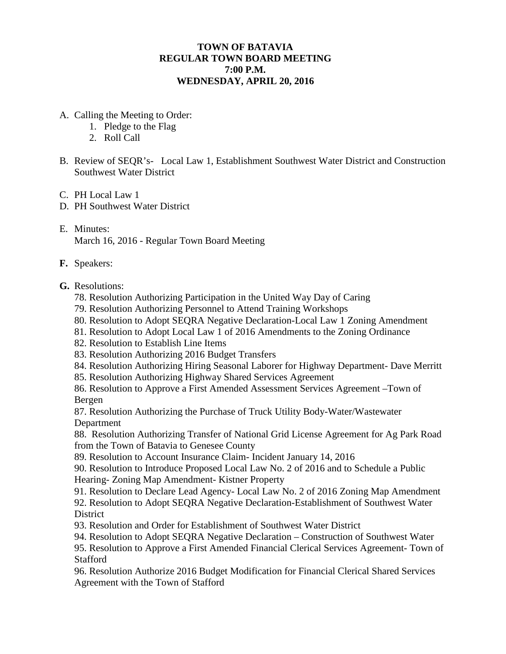## **TOWN OF BATAVIA REGULAR TOWN BOARD MEETING 7:00 P.M. WEDNESDAY, APRIL 20, 2016**

- A. Calling the Meeting to Order:
	- 1. Pledge to the Flag
	- 2. Roll Call
- B. Review of SEQR's- Local Law 1, Establishment Southwest Water District and Construction Southwest Water District
- C. PH Local Law 1
- D. PH Southwest Water District
- E. Minutes: March 16, 2016 - Regular Town Board Meeting
- **F.** Speakers:
- **G.** Resolutions:
	- 78. Resolution Authorizing Participation in the United Way Day of Caring
	- 79. Resolution Authorizing Personnel to Attend Training Workshops
	- 80. Resolution to Adopt SEQRA Negative Declaration-Local Law 1 Zoning Amendment
	- 81. Resolution to Adopt Local Law 1 of 2016 Amendments to the Zoning Ordinance
	- 82. Resolution to Establish Line Items
	- 83. Resolution Authorizing 2016 Budget Transfers
	- 84. Resolution Authorizing Hiring Seasonal Laborer for Highway Department- Dave Merritt
	- 85. Resolution Authorizing Highway Shared Services Agreement
	- 86. Resolution to Approve a First Amended Assessment Services Agreement –Town of Bergen

87. Resolution Authorizing the Purchase of Truck Utility Body-Water/Wastewater Department

88. Resolution Authorizing Transfer of National Grid License Agreement for Ag Park Road from the Town of Batavia to Genesee County

89. Resolution to Account Insurance Claim- Incident January 14, 2016

90. Resolution to Introduce Proposed Local Law No. 2 of 2016 and to Schedule a Public Hearing- Zoning Map Amendment- Kistner Property

91. Resolution to Declare Lead Agency- Local Law No. 2 of 2016 Zoning Map Amendment

92. Resolution to Adopt SEQRA Negative Declaration-Establishment of Southwest Water **District** 

- 93. Resolution and Order for Establishment of Southwest Water District
- 94. Resolution to Adopt SEQRA Negative Declaration Construction of Southwest Water

95. Resolution to Approve a First Amended Financial Clerical Services Agreement- Town of **Stafford** 

96. Resolution Authorize 2016 Budget Modification for Financial Clerical Shared Services Agreement with the Town of Stafford